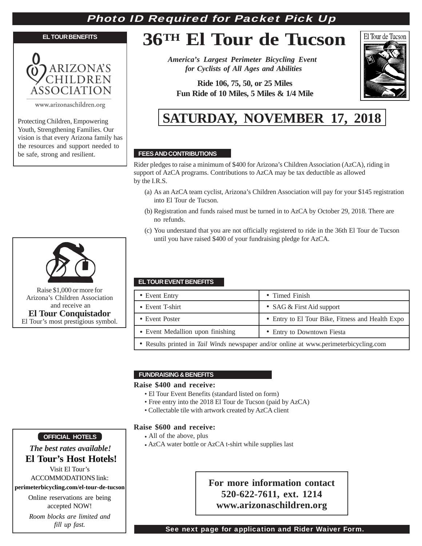## Photo ID Required for Packet Pick Up

#### **EL TOUR BENEFITS**



www.arizonaschildren.org

Protecting Children, Empowering Youth, Strengthening Families. Our vision is that every Arizona family has the resources and support needed to be safe, strong and resilient.

# **36TH El Tour de Tucson**

*America's Largest Perimeter Bicycling Event for Cyclists of All Ages and Abilities*

**Ride 106, 75, 50, or 25 Miles Fun Ride of 10 Miles, 5 Miles & 1/4 Mile**



## **SATURDAY, NOVEMBER 17, 2018**

## **FEES AND CONTRIBUTIONS**

Rider pledges to raise a minimum of \$400 for Arizona's Children Association (AzCA), riding in support of AzCA programs. Contributions to AzCA may be tax deductible as allowed by the I.R.S.

- (a) As an AzCA team cyclist, Arizona's Children Association will pay for your \$145 registration into El Tour de Tucson.
- (b) Registration and funds raised must be turned in to AzCA by October 29, 2018. There are no refunds.
- (c) You understand that you are not officially registered to ride in the 36th El Tour de Tucson until you have raised \$400 of your fundraising pledge for AzCA.

## **EL TOUR EVENT BENEFITS**

| • Event Entry                                                                         | • Timed Finish                                   |
|---------------------------------------------------------------------------------------|--------------------------------------------------|
| • Event T-shirt                                                                       | • SAG $&$ First Aid support                      |
| • Event Poster                                                                        | • Entry to El Tour Bike, Fitness and Health Expo |
| • Event Medallion upon finishing                                                      | • Entry to Downtown Fiesta                       |
| • Results printed in Tail Winds newspaper and/or online at www.perimeterbicycling.com |                                                  |

## **FUNDRAISING & BENEFITS**

## **Raise \$400 and receive:**

- El Tour Event Benefits (standard listed on form)
- Free entry into the 2018 El Tour de Tucson (paid by AzCA)
- Collectable tile with artwork created by AzCA client

## **Raise \$600 and receive:**

- All of the above, plus
- AzCA water bottle or AzCA t-shirt while supplies last

## **For more information contact 520-622-7611, ext. 1214 www.arizonaschildren.org**

## **OFFICIAL HOTELS**

## *The best rates available!*  **El Tour's Host Hotels!**

Visit El Tour's ACCOMMODATIONS link:

## **perimeterbicycling.com/el-tour-de-tucson**

Online reservations are being accepted NOW!

*Room blocks are limited and fill up fast.*

## See next page for application and Rider Waiver Form.



Raise \$1,000 or more for Arizona's Children Association and receive an **El Tour Conquistador** El Tour's most prestigious symbol.